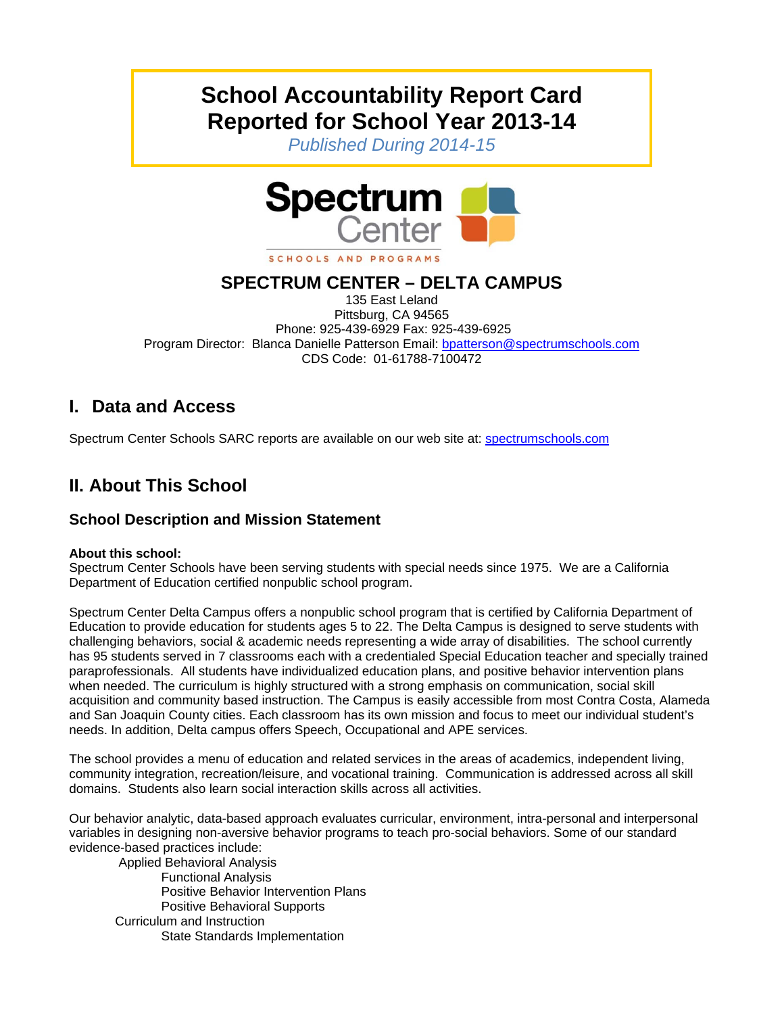# **School Accountability Report Card Reported for School Year 2013-14**

*Published During 2014-15* 



### **SPECTRUM CENTER – DELTA CAMPUS**

135 East Leland Pittsburg, CA 94565 Phone: 925-439-6929 Fax: 925-439-6925 Program Director: Blanca Danielle Patterson Email: bpatterson@spectrumschools.com CDS Code: 01-61788-7100472

# **I. Data and Access**

Spectrum Center Schools SARC reports are available on our web site at: spectrumschools.com

# **II. About This School**

#### **School Description and Mission Statement**

#### **About this school:**

Spectrum Center Schools have been serving students with special needs since 1975. We are a California Department of Education certified nonpublic school program.

Spectrum Center Delta Campus offers a nonpublic school program that is certified by California Department of Education to provide education for students ages 5 to 22. The Delta Campus is designed to serve students with challenging behaviors, social & academic needs representing a wide array of disabilities. The school currently has 95 students served in 7 classrooms each with a credentialed Special Education teacher and specially trained paraprofessionals. All students have individualized education plans, and positive behavior intervention plans when needed. The curriculum is highly structured with a strong emphasis on communication, social skill acquisition and community based instruction. The Campus is easily accessible from most Contra Costa, Alameda and San Joaquin County cities. Each classroom has its own mission and focus to meet our individual student's needs. In addition, Delta campus offers Speech, Occupational and APE services.

The school provides a menu of education and related services in the areas of academics, independent living, community integration, recreation/leisure, and vocational training. Communication is addressed across all skill domains. Students also learn social interaction skills across all activities.

Our behavior analytic, data-based approach evaluates curricular, environment, intra-personal and interpersonal variables in designing non-aversive behavior programs to teach pro-social behaviors. Some of our standard evidence-based practices include:

 Applied Behavioral Analysis Functional Analysis Positive Behavior Intervention Plans Positive Behavioral Supports Curriculum and Instruction State Standards Implementation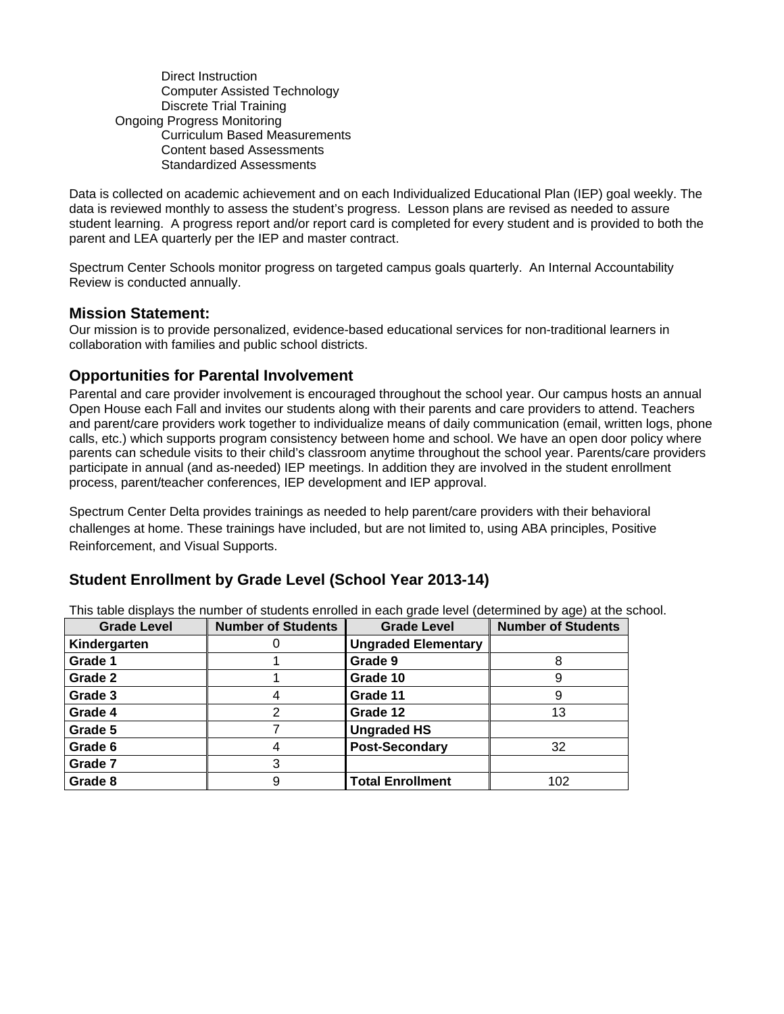Direct Instruction Computer Assisted Technology Discrete Trial Training Ongoing Progress Monitoring Curriculum Based Measurements Content based Assessments Standardized Assessments

Data is collected on academic achievement and on each Individualized Educational Plan (IEP) goal weekly. The data is reviewed monthly to assess the student's progress. Lesson plans are revised as needed to assure student learning. A progress report and/or report card is completed for every student and is provided to both the parent and LEA quarterly per the IEP and master contract.

Spectrum Center Schools monitor progress on targeted campus goals quarterly. An Internal Accountability Review is conducted annually.

**Mission Statement:**<br>Our mission is to provide personalized, evidence-based educational services for non-traditional learners in collaboration with families and public school districts.

#### **Opportunities for Parental Involvement**

Parental and care provider involvement is encouraged throughout the school year. Our campus hosts an annual Open House each Fall and invites our students along with their parents and care providers to attend. Teachers and parent/care providers work together to individualize means of daily communication (email, written logs, phone calls, etc.) which supports program consistency between home and school. We have an open door policy where parents can schedule visits to their child's classroom anytime throughout the school year. Parents/care providers participate in annual (and as-needed) IEP meetings. In addition they are involved in the student enrollment process, parent/teacher conferences, IEP development and IEP approval.

Spectrum Center Delta provides trainings as needed to help parent/care providers with their behavioral challenges at home. These trainings have included, but are not limited to, using ABA principles, Positive Reinforcement, and Visual Supports.

#### **Student Enrollment by Grade Level (School Year 2013-14)**

This table displays the number of students enrolled in each grade level (determined by age) at the school.

| <b>Grade Level</b> | <b>Number of Students</b> | <b>Grade Level</b>         | <b>Number of Students</b> |
|--------------------|---------------------------|----------------------------|---------------------------|
| Kindergarten       |                           | <b>Ungraded Elementary</b> |                           |
| Grade 1            |                           | Grade 9                    |                           |
| Grade 2            |                           | Grade 10                   |                           |
| Grade 3            |                           | Grade 11                   |                           |
| Grade 4            | 2                         | Grade 12                   | 13                        |
| Grade 5            |                           | <b>Ungraded HS</b>         |                           |
| Grade 6            |                           | <b>Post-Secondary</b>      | 32                        |
| Grade 7            | 3                         |                            |                           |
| Grade 8            | 9                         | <b>Total Enrollment</b>    | 102                       |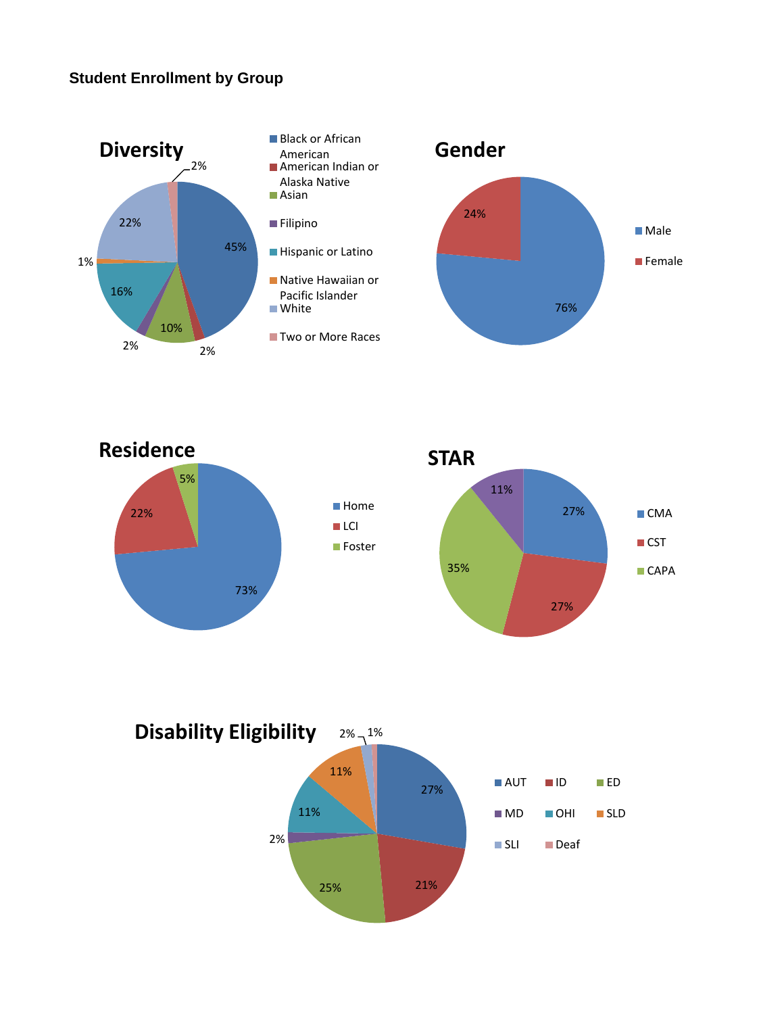#### **Student Enrollment by Group**





76%

■ Male

**Female** 

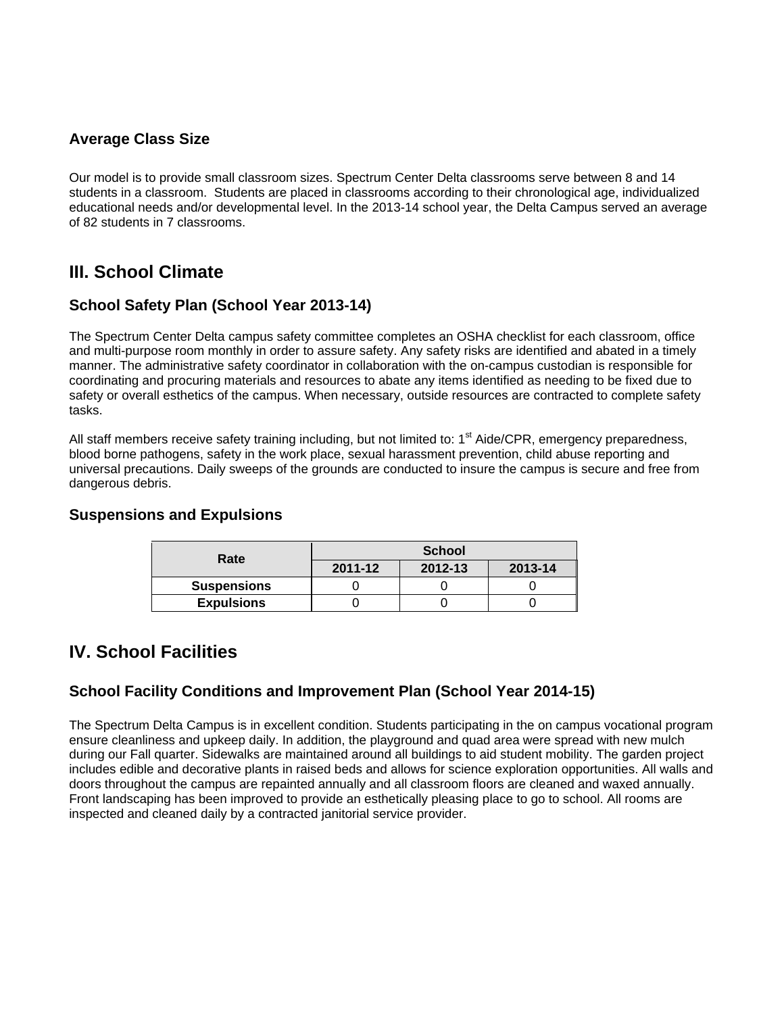#### **Average Class Size**

Our model is to provide small classroom sizes. Spectrum Center Delta classrooms serve between 8 and 14 students in a classroom. Students are placed in classrooms according to their chronological age, individualized educational needs and/or developmental level. In the 2013-14 school year, the Delta Campus served an average of 82 students in 7 classrooms.

# **III. School Climate**

#### **School Safety Plan (School Year 2013-14)**

The Spectrum Center Delta campus safety committee completes an OSHA checklist for each classroom, office and multi-purpose room monthly in order to assure safety. Any safety risks are identified and abated in a timely manner. The administrative safety coordinator in collaboration with the on-campus custodian is responsible for coordinating and procuring materials and resources to abate any items identified as needing to be fixed due to safety or overall esthetics of the campus. When necessary, outside resources are contracted to complete safety tasks.

All staff members receive safety training including, but not limited to: 1<sup>st</sup> Aide/CPR, emergency preparedness, blood borne pathogens, safety in the work place, sexual harassment prevention, child abuse reporting and universal precautions. Daily sweeps of the grounds are conducted to insure the campus is secure and free from dangerous debris.

#### **Suspensions and Expulsions**

| Rate               | <b>School</b> |         |         |  |
|--------------------|---------------|---------|---------|--|
|                    | 2011-12       | 2012-13 | 2013-14 |  |
| <b>Suspensions</b> |               |         |         |  |
| <b>Expulsions</b>  |               |         |         |  |

## **IV. School Facilities**

#### **School Facility Conditions and Improvement Plan (School Year 2014-15)**

The Spectrum Delta Campus is in excellent condition. Students participating in the on campus vocational program ensure cleanliness and upkeep daily. In addition, the playground and quad area were spread with new mulch during our Fall quarter. Sidewalks are maintained around all buildings to aid student mobility. The garden project includes edible and decorative plants in raised beds and allows for science exploration opportunities. All walls and doors throughout the campus are repainted annually and all classroom floors are cleaned and waxed annually. Front landscaping has been improved to provide an esthetically pleasing place to go to school. All rooms are inspected and cleaned daily by a contracted janitorial service provider.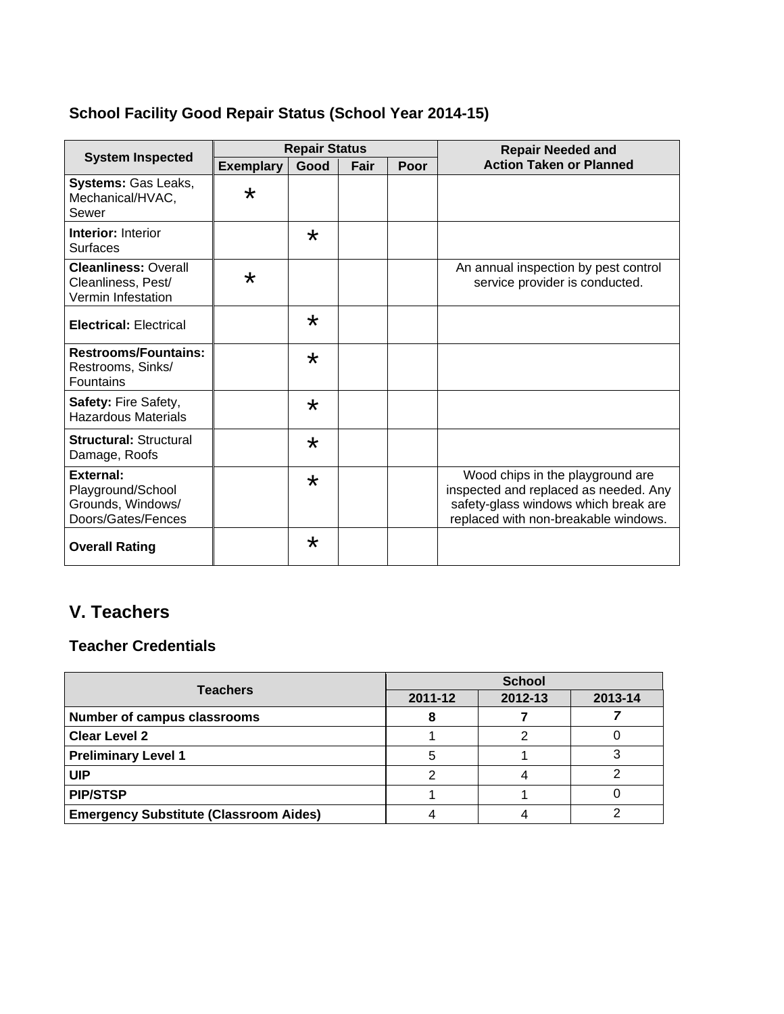# **School Facility Good Repair Status (School Year 2014-15)**

|                                                                           | <b>Repair Status</b> |         |      |      | <b>Repair Needed and</b>                                                                                                                                  |  |
|---------------------------------------------------------------------------|----------------------|---------|------|------|-----------------------------------------------------------------------------------------------------------------------------------------------------------|--|
| <b>System Inspected</b>                                                   | <b>Exemplary</b>     | Good    | Fair | Poor | <b>Action Taken or Planned</b>                                                                                                                            |  |
| Systems: Gas Leaks,<br>Mechanical/HVAC,<br>Sewer                          | $\star$              |         |      |      |                                                                                                                                                           |  |
| <b>Interior: Interior</b><br><b>Surfaces</b>                              |                      | $\star$ |      |      |                                                                                                                                                           |  |
| <b>Cleanliness: Overall</b><br>Cleanliness, Pest/<br>Vermin Infestation   | $\star$              |         |      |      | An annual inspection by pest control<br>service provider is conducted.                                                                                    |  |
| <b>Electrical: Electrical</b>                                             |                      | $\star$ |      |      |                                                                                                                                                           |  |
| <b>Restrooms/Fountains:</b><br>Restrooms, Sinks/<br><b>Fountains</b>      |                      | $\star$ |      |      |                                                                                                                                                           |  |
| <b>Safety: Fire Safety,</b><br><b>Hazardous Materials</b>                 |                      | $\star$ |      |      |                                                                                                                                                           |  |
| <b>Structural: Structural</b><br>Damage, Roofs                            |                      | $\star$ |      |      |                                                                                                                                                           |  |
| External:<br>Playground/School<br>Grounds, Windows/<br>Doors/Gates/Fences |                      | $\star$ |      |      | Wood chips in the playground are<br>inspected and replaced as needed. Any<br>safety-glass windows which break are<br>replaced with non-breakable windows. |  |
| <b>Overall Rating</b>                                                     |                      | $\star$ |      |      |                                                                                                                                                           |  |

# **V. Teachers**

# **Teacher Credentials**

| <b>Teachers</b>                               | <b>School</b> |         |         |  |
|-----------------------------------------------|---------------|---------|---------|--|
|                                               | 2011-12       | 2012-13 | 2013-14 |  |
| <b>Number of campus classrooms</b>            |               |         |         |  |
| <b>Clear Level 2</b>                          |               |         |         |  |
| <b>Preliminary Level 1</b>                    |               |         |         |  |
| <b>UIP</b>                                    |               |         |         |  |
| <b>PIP/STSP</b>                               |               |         |         |  |
| <b>Emergency Substitute (Classroom Aides)</b> |               |         |         |  |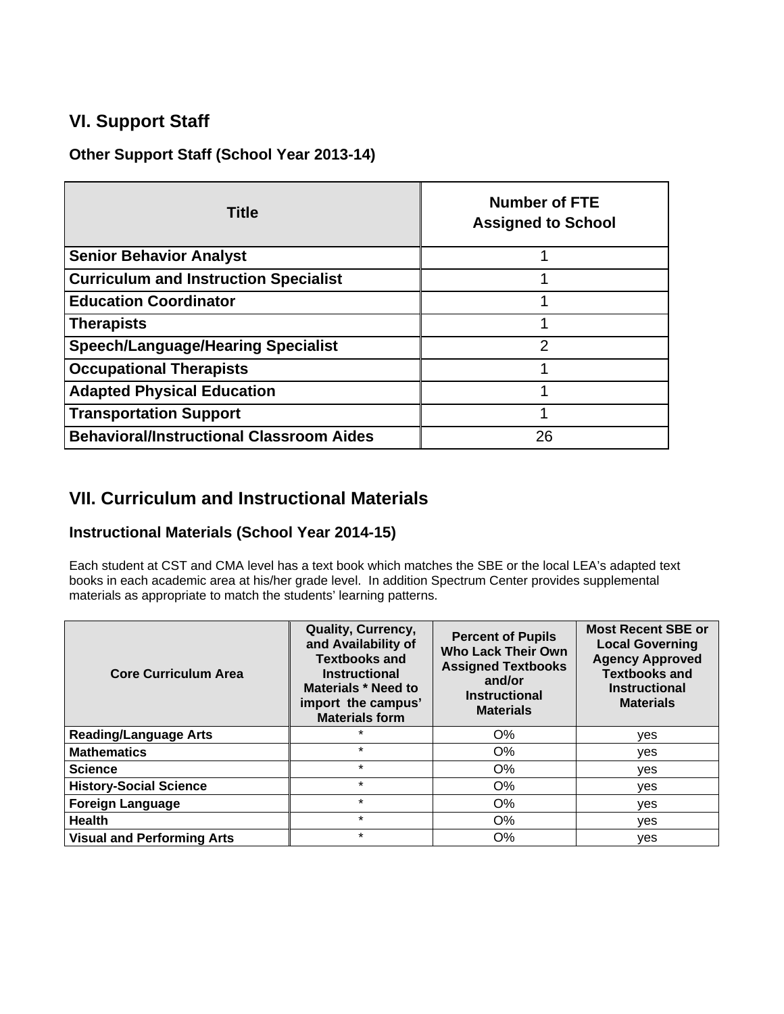# **VI. Support Staff**

**Other Support Staff (School Year 2013-14)** 

| <b>Title</b>                                    | <b>Number of FTE</b><br><b>Assigned to School</b> |  |
|-------------------------------------------------|---------------------------------------------------|--|
| <b>Senior Behavior Analyst</b>                  |                                                   |  |
| <b>Curriculum and Instruction Specialist</b>    |                                                   |  |
| <b>Education Coordinator</b>                    |                                                   |  |
| <b>Therapists</b>                               |                                                   |  |
| <b>Speech/Language/Hearing Specialist</b>       | 2                                                 |  |
| <b>Occupational Therapists</b>                  |                                                   |  |
| <b>Adapted Physical Education</b>               |                                                   |  |
| <b>Transportation Support</b>                   |                                                   |  |
| <b>Behavioral/Instructional Classroom Aides</b> | 26                                                |  |

## **VII. Curriculum and Instructional Materials**

#### **Instructional Materials (School Year 2014-15)**

Each student at CST and CMA level has a text book which matches the SBE or the local LEA's adapted text books in each academic area at his/her grade level. In addition Spectrum Center provides supplemental materials as appropriate to match the students' learning patterns.

| <b>Core Curriculum Area</b>       | Quality, Currency,<br>and Availability of<br><b>Textbooks and</b><br><b>Instructional</b><br><b>Materials * Need to</b><br>import the campus'<br><b>Materials form</b> | <b>Percent of Pupils</b><br><b>Who Lack Their Own</b><br><b>Assigned Textbooks</b><br>and/or<br><b>Instructional</b><br><b>Materials</b> | <b>Most Recent SBE or</b><br><b>Local Governing</b><br><b>Agency Approved</b><br><b>Textbooks and</b><br><b>Instructional</b><br><b>Materials</b> |
|-----------------------------------|------------------------------------------------------------------------------------------------------------------------------------------------------------------------|------------------------------------------------------------------------------------------------------------------------------------------|---------------------------------------------------------------------------------------------------------------------------------------------------|
| <b>Reading/Language Arts</b>      | $\star$                                                                                                                                                                | O%                                                                                                                                       | yes                                                                                                                                               |
| <b>Mathematics</b>                | $\star$                                                                                                                                                                | $O\%$                                                                                                                                    | ves                                                                                                                                               |
| <b>Science</b>                    | $\star$                                                                                                                                                                | O%                                                                                                                                       | ves                                                                                                                                               |
| <b>History-Social Science</b>     | $\star$                                                                                                                                                                | $O\%$                                                                                                                                    | ves                                                                                                                                               |
| <b>Foreign Language</b>           | $\star$                                                                                                                                                                | O%                                                                                                                                       | yes                                                                                                                                               |
| <b>Health</b>                     | $\star$                                                                                                                                                                | $O\%$                                                                                                                                    | yes                                                                                                                                               |
| <b>Visual and Performing Arts</b> | $\star$                                                                                                                                                                | O%                                                                                                                                       | yes                                                                                                                                               |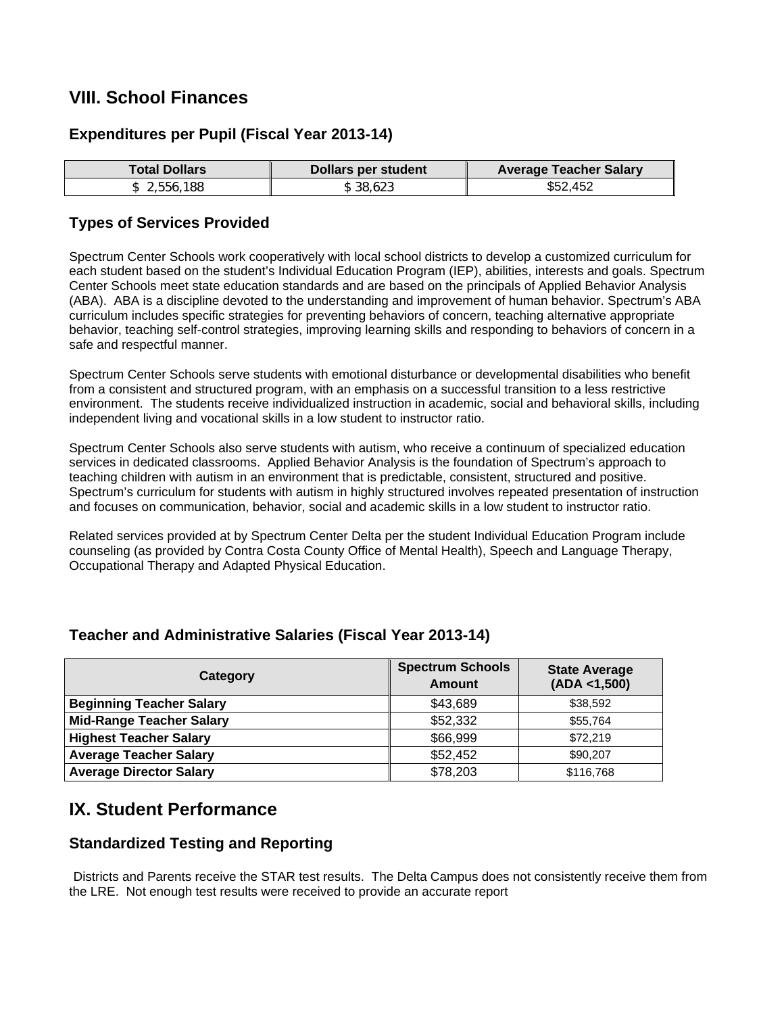# **VIII. School Finances**

#### **Expenditures per Pupil (Fiscal Year 2013-14)**

| <b>Total Dollars</b> | Dollars per student | <b>Average Teacher Salary</b> |
|----------------------|---------------------|-------------------------------|
| 2,556,188            | \$38.623            | \$52,452                      |

#### **Types of Services Provided**

Spectrum Center Schools work cooperatively with local school districts to develop a customized curriculum for each student based on the student's Individual Education Program (IEP), abilities, interests and goals. Spectrum Center Schools meet state education standards and are based on the principals of Applied Behavior Analysis (ABA). ABA is a discipline devoted to the understanding and improvement of human behavior. Spectrum's ABA curriculum includes specific strategies for preventing behaviors of concern, teaching alternative appropriate behavior, teaching self-control strategies, improving learning skills and responding to behaviors of concern in a safe and respectful manner.

Spectrum Center Schools serve students with emotional disturbance or developmental disabilities who benefit from a consistent and structured program, with an emphasis on a successful transition to a less restrictive environment. The students receive individualized instruction in academic, social and behavioral skills, including independent living and vocational skills in a low student to instructor ratio.

Spectrum Center Schools also serve students with autism, who receive a continuum of specialized education services in dedicated classrooms. Applied Behavior Analysis is the foundation of Spectrum's approach to teaching children with autism in an environment that is predictable, consistent, structured and positive. Spectrum's curriculum for students with autism in highly structured involves repeated presentation of instruction and focuses on communication, behavior, social and academic skills in a low student to instructor ratio.

Related services provided at by Spectrum Center Delta per the student Individual Education Program include counseling (as provided by Contra Costa County Office of Mental Health), Speech and Language Therapy, Occupational Therapy and Adapted Physical Education.

| Category                        | <b>Spectrum Schools</b><br>Amount | <b>State Average</b><br>(ADA < 1,500) |
|---------------------------------|-----------------------------------|---------------------------------------|
| <b>Beginning Teacher Salary</b> | \$43,689                          | \$38,592                              |
| <b>Mid-Range Teacher Salary</b> | \$52,332                          | \$55,764                              |
| <b>Highest Teacher Salary</b>   | \$66,999                          | \$72,219                              |
| <b>Average Teacher Salary</b>   | \$52,452                          | \$90,207                              |
| <b>Average Director Salary</b>  | \$78,203                          | \$116,768                             |

#### **Teacher and Administrative Salaries (Fiscal Year 2013-14)**

# **IX. Student Performance**

#### **Standardized Testing and Reporting**

Districts and Parents receive the STAR test results. The Delta Campus does not consistently receive them from the LRE. Not enough test results were received to provide an accurate report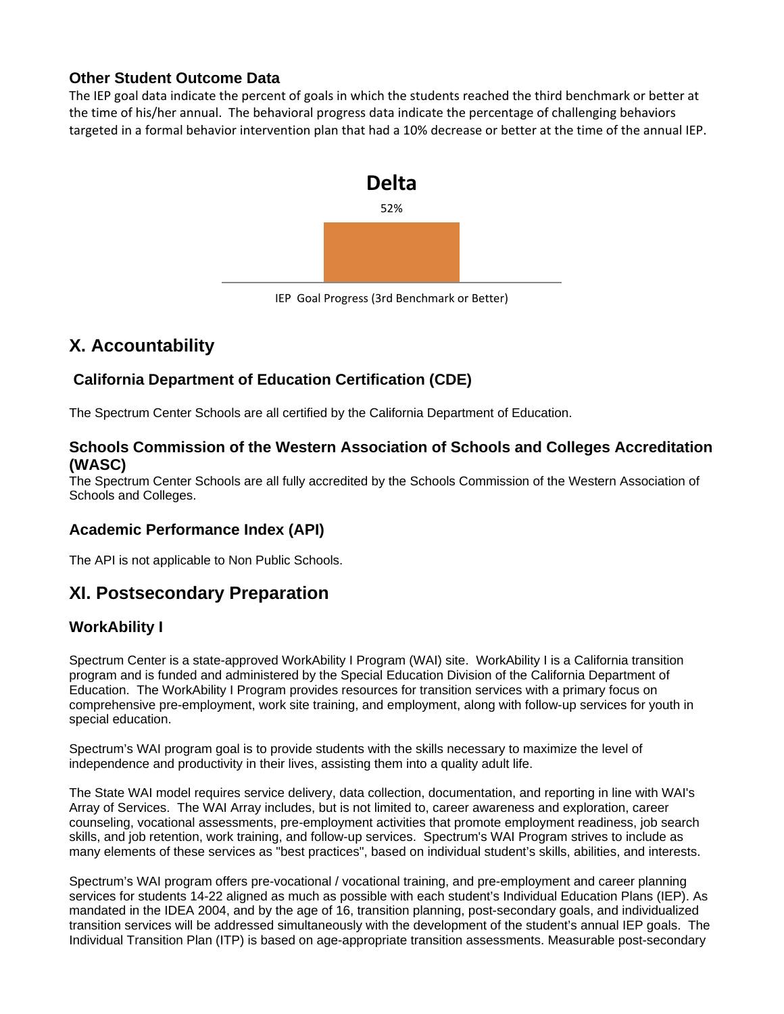#### **Other Student Outcome Data**

The IEP goal data indicate the percent of goals in which the students reached the third benchmark or better at the time of his/her annual. The behavioral progress data indicate the percentage of challenging behaviors targeted in a formal behavior intervention plan that had a 10% decrease or better at the time of the annual IEP.



IEP Goal Progress (3rd Benchmark or Better)

# **X. Accountability**

### **California Department of Education Certification (CDE)**

The Spectrum Center Schools are all certified by the California Department of Education.

#### **Schools Commission of the Western Association of Schools and Colleges Accreditation (WASC)**

The Spectrum Center Schools are all fully accredited by the Schools Commission of the Western Association of Schools and Colleges.

#### **Academic Performance Index (API)**

The API is not applicable to Non Public Schools.

# **XI. Postsecondary Preparation**

#### **WorkAbility I**

Spectrum Center is a state-approved WorkAbility I Program (WAI) site. WorkAbility I is a California transition program and is funded and administered by the Special Education Division of the California Department of Education. The WorkAbility I Program provides resources for transition services with a primary focus on comprehensive pre-employment, work site training, and employment, along with follow-up services for youth in special education.

Spectrum's WAI program goal is to provide students with the skills necessary to maximize the level of independence and productivity in their lives, assisting them into a quality adult life.

The State WAI model requires service delivery, data collection, documentation, and reporting in line with WAI's Array of Services. The WAI Array includes, but is not limited to, career awareness and exploration, career counseling, vocational assessments, pre-employment activities that promote employment readiness, job search skills, and job retention, work training, and follow-up services. Spectrum's WAI Program strives to include as many elements of these services as "best practices", based on individual student's skills, abilities, and interests.

Spectrum's WAI program offers pre-vocational / vocational training, and pre-employment and career planning services for students 14-22 aligned as much as possible with each student's Individual Education Plans (IEP). As mandated in the IDEA 2004, and by the age of 16, transition planning, post-secondary goals, and individualized transition services will be addressed simultaneously with the development of the student's annual IEP goals. The Individual Transition Plan (ITP) is based on age-appropriate transition assessments. Measurable post-secondary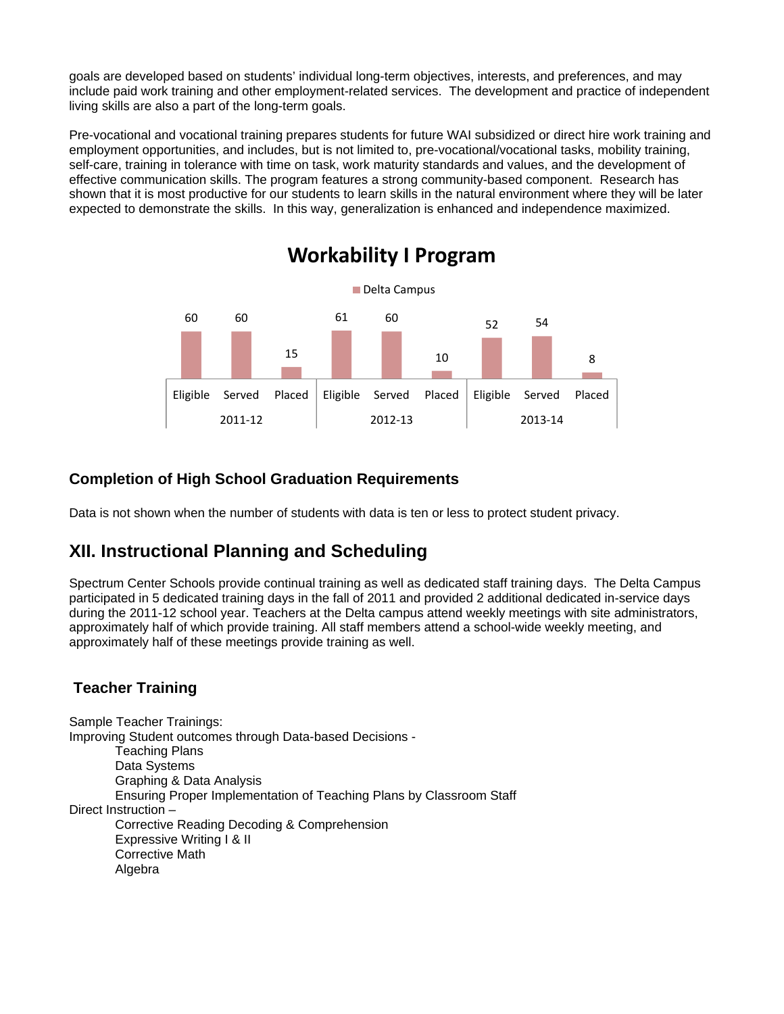goals are developed based on students' individual long-term objectives, interests, and preferences, and may include paid work training and other employment-related services. The development and practice of independent living skills are also a part of the long-term goals.

Pre-vocational and vocational training prepares students for future WAI subsidized or direct hire work training and employment opportunities, and includes, but is not limited to, pre-vocational/vocational tasks, mobility training, self-care, training in tolerance with time on task, work maturity standards and values, and the development of effective communication skills. The program features a strong community-based component. Research has shown that it is most productive for our students to learn skills in the natural environment where they will be later expected to demonstrate the skills. In this way, generalization is enhanced and independence maximized.



#### **Completion of High School Graduation Requirements**

Data is not shown when the number of students with data is ten or less to protect student privacy.

# **XII. Instructional Planning and Scheduling**

Spectrum Center Schools provide continual training as well as dedicated staff training days. The Delta Campus participated in 5 dedicated training days in the fall of 2011 and provided 2 additional dedicated in-service days during the 2011-12 school year. Teachers at the Delta campus attend weekly meetings with site administrators, approximately half of which provide training. All staff members attend a school-wide weekly meeting, and approximately half of these meetings provide training as well.

#### **Teacher Training**

Sample Teacher Trainings: Improving Student outcomes through Data-based Decisions - Teaching Plans Data Systems Graphing & Data Analysis Ensuring Proper Implementation of Teaching Plans by Classroom Staff Direct Instruction – Corrective Reading Decoding & Comprehension Expressive Writing I & II Corrective Math Algebra